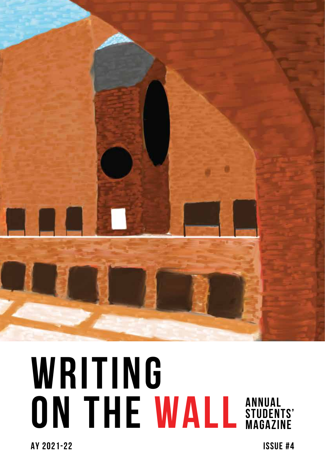

## **WRITING ON THE WALL Annual Students' Magazine**

**AY 2021-22 Issue #4**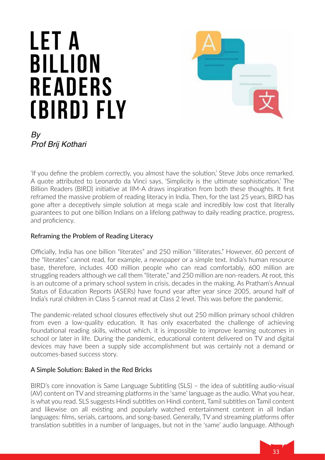# **Let a Billion Readers (BIRD) Fly**



*By Prof Brij Kothari*

'If you define the problem correctly, you almost have the solution,' Steve Jobs once remarked. A quote attributed to Leonardo da Vinci says, 'Simplicity is the ultimate sophistication.' The Billion Readers (BIRD) initiative at IIM-A draws inspiration from both these thoughts. It first reframed the massive problem of reading literacy in India. Then, for the last 25 years, BIRD has gone after a deceptively simple solution at mega scale and incredibly low cost that literally guarantees to put one billion Indians on a lifelong pathway to daily reading practice, progress, and proficiency.

#### Reframing the Problem of Reading Literacy

Officially, India has one billion "literates" and 250 million "illiterates." However, 60 percent of the "literates" cannot read, for example, a newspaper or a simple text. India's human resource base, therefore, includes 400 million people who can read comfortably, 600 million are struggling readers although we call them "literate," and 250 million are non-readers. At root, this is an outcome of a primary school system in crisis, decades in the making. As Pratham's Annual Status of Education Reports (ASERs) have found year after year since 2005, around half of India's rural children in Class 5 cannot read at Class 2 level. This was before the pandemic.

The pandemic-related school closures effectively shut out 250 million primary school children from even a low-quality education. It has only exacerbated the challenge of achieving foundational reading skills, without which, it is impossible to improve learning outcomes in school or later in life. During the pandemic, educational content delivered on TV and digital devices may have been a supply side accomplishment but was certainly not a demand or outcomes-based success story.

#### A Simple Solution: Baked in the Red Bricks

BIRD's core innovation is Same Language Subtitling (SLS) – the idea of subtitling audio-visual (AV) content on TV and streaming platforms in the 'same' language as the audio. What you hear, is what you read. SLS suggests Hindi subtitles on Hindi content, Tamil subtitles on Tamil content and likewise on all existing and popularly watched entertainment content in all Indian languages: films, serials, cartoons, and song-based. Generally, TV and streaming platforms offer translation subtitles in a number of languages, but not in the 'same' audio language. Although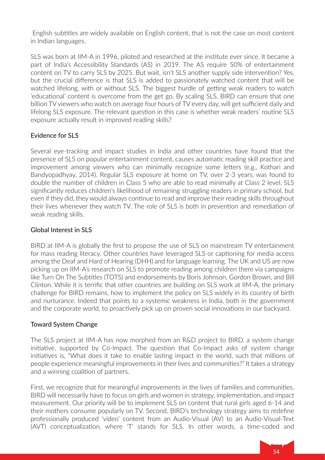English subtitles are widely available on English content, that is not the case on most content in Indian languages.

SLS was born at IIM-A in 1996, piloted and researched at the institute ever since. It became a part of India's Accessibility Standards (AS) in 2019. The AS require 50% of entertainment content on TV to carry SLS by 2025. But wait, isn't SLS another supply side intervention? Yes, but the crucial difference is that SLS is added to passionately watched content that will be watched lifelong, with or without SLS. The biggest hurdle of getting weak readers to watch 'educational' content is overcome from the get go. By scaling SLS, BIRD can ensure that one billion TV viewers who watch on average four hours of TV every day, will get sufficient daily and lifelong SLS exposure. The relevant question in this case is whether weak readers' routine SLS exposure actually result in improved reading skills?

#### Evidence for SLS

Several eye-tracking and impact studies in India and other countries have found that the presence of SLS on popular entertainment content, causes automatic reading skill practice and improvement among viewers who can minimally recognize some letters (e.g., Kothari and Bandyopadhyay, 2014). Regular SLS exposure at home on TV, over 2-3 years, was found to double the number of children in Class 5 who are able to read minimally at Class 2 level. SLS significantly reduces children's likelihood of remaining struggling readers in primary school, but even if they did, they would always continue to read and improve their reading skills throughout their lives whenever they watch TV. The role of SLS is both in prevention and remediation of weak reading skills.

#### Global Interest in SLS

BIRD at IIM-A is globally the first to propose the use of SLS on mainstream TV entertainment for mass reading literacy. Other countries have leveraged SLS or captioning for media access among the Deaf and Hard of Hearing (DHH) and for language learning. The UK and US are now picking up on IIM-A's research on SLS to promote reading among children there via campaigns like Turn On The Subtitles (TOTS) and endorsements by Boris Johnson, Gordon Brown, and Bill Clinton. While it is terrific that other countries are building on SLS work at IIM-A, the primary challenge for BIRD remains, how to implement the policy on SLS widely in its country of birth and nurturance. Indeed that points to a systemic weakness in India, both in the government and the corporate world, to proactively pick up on proven social innovations in our backyard.

#### Toward System Change

The SLS project at IIM-A has now morphed from an R&D project to BIRD, a system change initiative, supported by Co-Impact. The question that Co-Impact asks of system change initiatives is, "What does it take to enable lasting impact in the world, such that millions of people experience meaningful improvements in their lives and communities?" It takes a strategy and a winning coalition of partners.

First, we recognize that for meaningful improvements in the lives of families and communities, BIRD will necessarily have to focus on girls and women in strategy, implementation, and impact measurement. Our priority will be to implement SLS on content that rural girls aged 6-14 and their mothers consume popularly on TV. Second, BIRD's technology strategy aims to redefine professionally produced 'video' content from an Audio-Visual (AV) to an Audio-Visual-Text (AVT) conceptualization, where 'T' stands for SLS. In other words, a time-coded and